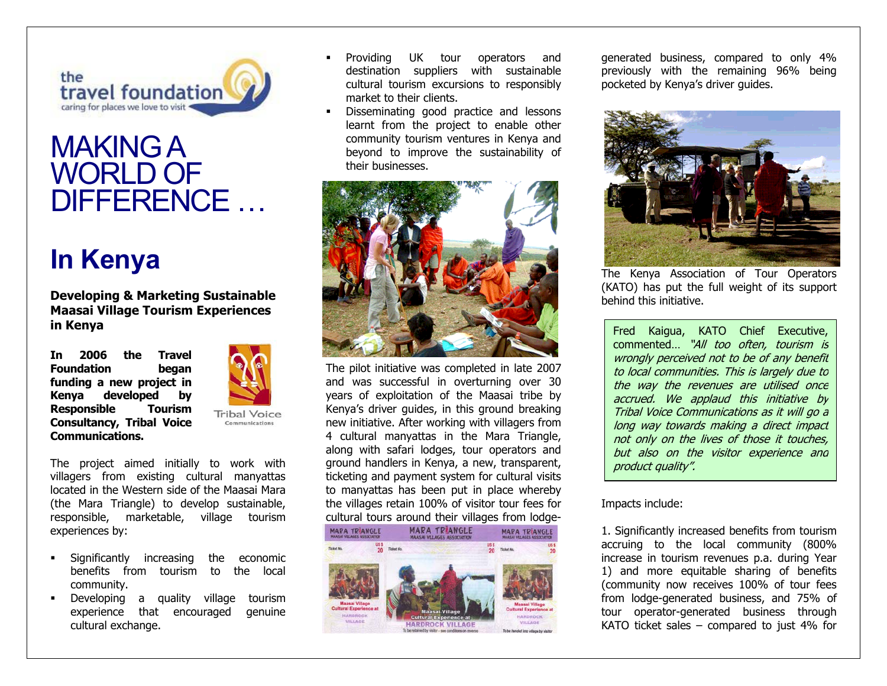

## MAKING A WORLD OF DIFFERENCE …

## **In Kenya**

**Developing & Marketing Sustainable Maasai Village Tourism Experiences in Kenya** 

**In 2006 the Travel Foundation began funding a new project in Kenya developed by Responsible Tourism Consultancy, Tribal Voice Communications.** 



**Tribal Voice** 

The project aimed initially to work with villagers from existing cultural manyattas located in the Western side of the Maasai Mara (the Mara Triangle) to develop sustainable, responsible, marketable, village tourism experiences by:

- Significantly increasing the economic benefits from tourism to the local community.
- **Developing a quality village tourism** experience that encouraged genuine cultural exchange.
- Providing UK tour operators and destination suppliers with sustainable cultural tourism excursions to responsibly market to their clients.
- Disseminating good practice and lessons learnt from the project to enable other community tourism ventures in Kenya and beyond to improve the sustainability of their businesses.



The pilot initiative was completed in late 2007 and was successful in overturning over 30 years of exploitation of the Maasai tribe by Kenya's driver guides, in this ground breaking new initiative. After working with villagers from 4 cultural manyattas in the Mara Triangle, along with safari lodges, tour operators and ground handlers in Kenya, a new, transparent, ticketing and payment system for cultural visits to manyattas has been put in place whereby the villages retain 100% of visitor tour fees for cultural tours around their villages from lodge-





Fred Kai gua, KATO Chief Executive, commented… "All too often, tourism is wrongly perceived not to be of any benefit to local communities. This is largely due to the way the revenues are utilised once accrued. We applaud this initiative by Tribal Voice Communications as it will go a long way towards making a direct impact not only on the lives of those it touches, but also on the visitor experience and product quality".

1. Significantly increased benefits from tourism accruing to the local community (800% increase in tourism revenues p.a. during Year 1) and more equitable sharing of benefits (community now receives 100% of tour fees from lodge-generated business, and 75% of tour operator-generated business through KATO ticket sales – compared to just  $4\%$  for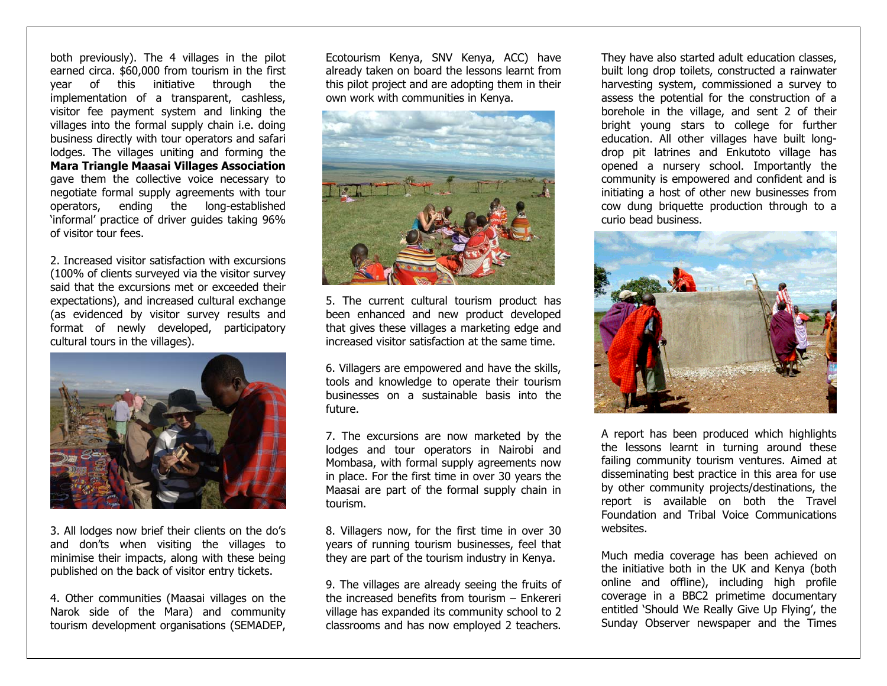both previously). The 4 villages in the pilot earned circa. \$60,000 from tourism in the first year of this initiative through the implementation of a transparent, cashless, visitor fee payment system and linking the villages into the formal supply chain i.e. doing business directly with tour operators and safari lodges. The villages uniting and forming the **Mara Triangle Maasai Villages Association** gave them the collective voice necessary to negotiate formal supply agreements with tour operators, ending the long-established 'informal' practice of driver guides taking 96% of visitor tour fees.

2. Increased visitor satisfaction with excursions (100% of clients surveyed via the visitor survey said that the excursions met or exceeded their expectations), and increased cultural exchange (as evidenced by visitor survey results and format of newly developed, participatory cultural tours in the villages).



3. All lodges now brief their clients on the do's and don'ts when visiting the villages to minimise their impacts, along with these being published on the back of visitor entry tickets.

4. Other communities (Maasai villages on the Narok side of the Mara) and community tourism development organisations (SEMADEP, Ecotourism Kenya, SNV Kenya, ACC) have already taken on board the lessons learnt from this pilot project and are adopting them in their own work with communities in Kenya.



5. The current cultural tourism product has been enhanced and new product developed that gives these villages a marketing edge and increased visitor satisfaction at the same time.

6. Villagers are empowered and have the skills, tools and knowledge to operate their tourism businesses on a sustainable basis into the future.

7. The excursions are now marketed by the lodges and tour operators in Nairobi and Mombasa, with formal supply agreements now in place. For the first time in over 30 years the Maasai are part of the formal supply chain in tourism.

8. Villagers now, for the first time in over 30 years of running tourism businesses, feel that they are part of the tourism industry in Kenya.

9. The villages are already seeing the fruits of the increased benefits from tourism – Enkereri village has expanded its community school to 2 classrooms and has now employed 2 teachers.

They have also started adult education classes, built long drop toilets, constructed a rainwater harvesting system, commissioned a survey to assess the potential for the construction of a borehole in the village, and sent 2 of their bright young stars to college for further education. All other villages have built longdrop pit latrines and Enkutoto village has opened a nursery school. Importantly the community is empowered and confident and is initiating a host of other new businesses from cow dung briquette production through to a curio bead business.



A report has been produced which highlights the lessons learnt in turning around these failing community tourism ventures. Aimed at disseminating best practice in this area for use by other community projects/destinations, the report is available on both the Travel Foundation and Tribal Voice Communications websites.

Much media coverage has been achieved on the initiative both in the UK and Kenya (both online and offline), including high profile coverage in a BBC2 primetime documentary entitled 'Should We Really Give Up Flying', the Sunday Observer newspaper and the Times